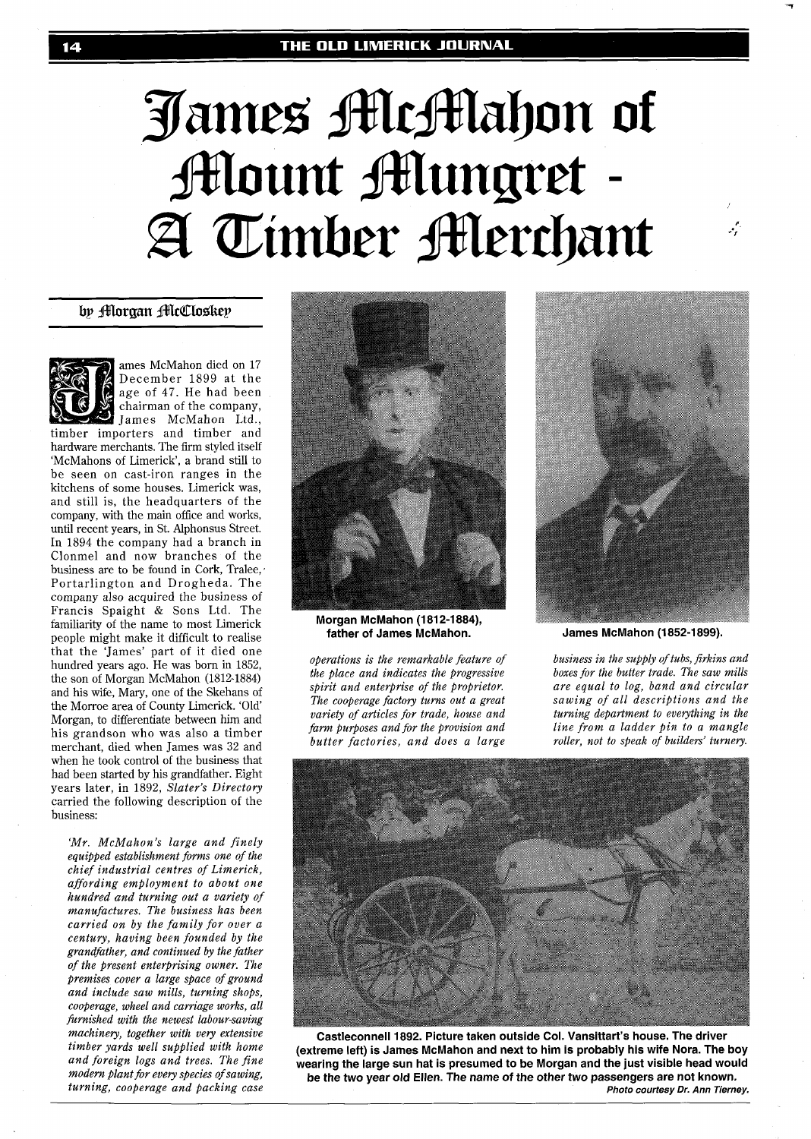# James McMahon of **Mount Mungret** A Timber Alerchant

# by Morgan McCloskey



ames McMahon died on 17 December 1899 at the age of 47. He had been chairman of the company, James McMahon Ltd.,

timber importers and timber and hardware merchants. The firm styled itself 'McMahons of Limerick', a brand still to be seen on cast-iron ranges in the kitchens of some houses. Limerick was, and still is, the headquarters of the company, with the main office and works, until recent years, in St. Alphonsus Street. In 1894 the company had a branch in Clonmel and now branches of the business are to be found in Cork, Tralee,, Portarlington and Drogheda. The company also acquired the business of Francis Spaight & Sons Ltd. The familiarity of the name to most Limerick people might make it difficult to realise that the 'James' part of it died one hundred years ago. He was born in 1852, the son of Morgan McMahon (1812-1884) and his wife, May, one of the Skehans of the Morroe area of County Limerick. 'Old' Morgan, to differentiate between him and his grandson who was also a timber merchant, died when James was 32 and when he took control of the business that had been started by his grandfather. Eight years later, in 1892, *Slater's Directory*  carried the following description of the business:

*'Mr. McMahon's large and finely equipped establishment foms one of the chief industrial centres of Limerick, affording employment to about one hundred and turning out a variety of manufactures. The business has been carried on by the family for over a century, having been founded by the grandfather, and continued by the father of the present enterprising owner. The premises cover a large space of ground and include saw mills, turning shops, cooperage, wheel and carriage works, all hrnished with the newest labour-saving machinery, together with very extensive timber yards well supplied with home and foreign logs and trees. The fine modern plant for every species of sawing, turning, cooperage and packing case* 



**Morgan McMahon (1812-1884), father of James McMahon.** 

*operations is the remarkable feature of the place and indicates the progressive spirit and enterprise of the proprietor. The cooperage factory turns out a great variety of articles for trade, house and farm purposes and for the provision and butter factories, and does a large* 



 $\mathcal{L}$ 

**James McMahon (1852-1899).** 

*business in the supply of tubs, firkins and boxes for the butter trade. The saw mills are equal to log, band and circular sawing of all descriptions and the turning department to everything in the line from a ladder pin to a mangle roller, not to speak of builders' turnery.* 



**Castleconnell 1892. Picture taken outside Col. Vansittart's house. The driver (extreme left) is James McMahon and next to him is probably his wife Nora. The boy wearing the large sun hat is presumed to be Morgan and the just visible head would be the two year old Ellen. The name of the other two passengers are not known. Photo courtesy Dr. Ann Tierney.**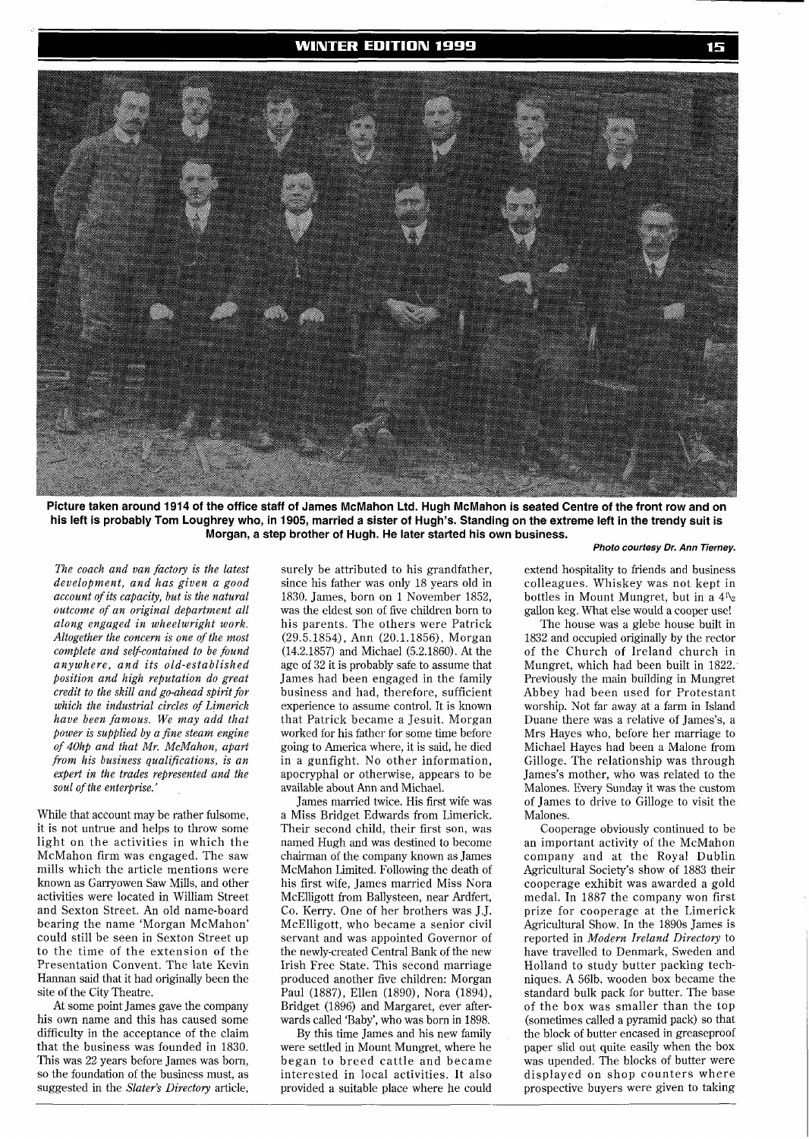

**Picture taken around 1914 of the office staff of James McMahon Ltd. Hugh McMahon is seated Centre of the front row and on his left is probably Tom Loughrey who, in 1905, married a sister of Hugh's. Standing on the extreme left in the trendy suit is Morgan, a step brother of Hugh. He later started his own business.** 

*The coach and van factory is the latest development, and has given a good account of its capacity, but is the natural outcome of an original department all along engaged in wheelwright work. Altogether the concern is one of the most complete and self-contained to be found anywhere, and its old-established position and high reputation do great credit to the skill and go-ahead spirit for which the industrial circles of Limerick have been famous. We may add that power is supplied by a fine steam engine of 40hp and that Mr. McMahon, apart from his business qualifications, is an expert in the trades represented and the soul of the enterprise.'* 

While that account may be rather fulsome, it is not untrue and helps to throw some light on the activities in which the McMahon firm was engaged. The saw mills which the article mentions were known as Garryowen Saw Mills, and other activities were located in William Street and Sexton Street. An old name-board bearing the name 'Morgan McMahon' could still be seen in Sexton Street up to the time of the extension of the Presentation Convent. The late Kevin Hannan said that it had originally been the site of the City Theatre.

At some point James gave the company his own name and this has caused some difficulty in the acceptance of the claim that the business was founded in 1830. This was 22 years before James was born, so the foundation of the business must, as suggested in the *Slater's Directory* article,

surely be attributed to his grandfather, since his father was only 18 years old in 1830. James, born on 1 November 1852, was the eldest son of five children born to his parents. The others were Patrick (29.5.1854), Ann (20.1.1856), Morgan (14.2.1857) and Michael (5.2.1860). At the age of 32 it is probably safe to assume that James had been engaged in the family business and had, therefore, sufficient experience to assume control. It is known that Patrick became a Jesuit. Morgan worked for his father for some time before going to America where, it is said, he died in a gunfight. No other information, apocryphal or otherwise, appears to be available about Ann and Michael.

James married twice. His first wife was a Miss Bridget Edwards from Limerick. Their second child, their first son, was named Hugh and was destined to become chairman of the company known as James McMahon Limited. Following the death of his first wife, James married Miss Nora McElligott from Ballysteen, near Ardfert, Co. Kerry. One of her brothers was J.J. McElligott, who became a senior civil servant and was appointed Governor of the newly-created Central Bank of the new Irish Free State. This second marriage produced another five children: Morgan Paul (1887), Ellen (1890), Nora (1894), Bridget (1896) and Margaret, ever afterwards called 'Baby', who was born in 1898.

By this time James and his new family were settled in Mount Mungret, where he began to breed cattle and became interested in local activities. It also provided a suitable place where he could

### **Photo courtesy Dr. Ann Tierney.**

extend hospitality to friends and business colleagues. Whiskey was not kept in bottles in Mount Mungret, but in a  $4^{\prime\prime}$ gallon keg. What else would a cooper use!

The house was a glebe house built in 1832 and occupied originally by the rector of the Church of Ireland church in Mungret, which had been built in 1822. Previously the main building in Mungret Abbey had been used for Protestant worship. Not far away at a farm in Island Duane there was a relative of James's, a Mrs Hayes who, before her marriage to Michael Hayes had been a Malone from Gilloge. The relationship was through James's mother, who was related to the Malones. Every Sunday it was the custom of James to drive to Gilloge to visit the Malones.

Cooperage obviously continued to be an important activity of the McMahon company and at the Royal Dublin Agricultural Society's show of 1883 their cooperage exhibit was awarded a gold medal. In 1887 the company won first prize for cooperage at the Limerick Agricultural Show. In the 1890s James is reported in *Modern Ireland Directory* to have travelled to Denmark, Sweden and Holland to study butter packing techniques. A 561b. wooden box became the standard bulk pack for butter. The base of the box was smaller than the top (sometimes called a pyramid pack) so that the block of butter encased in greaseproof paper slid out quite easily when the box was upended. The blocks of butter were displayed on shop counters where prospective buyers were given to taking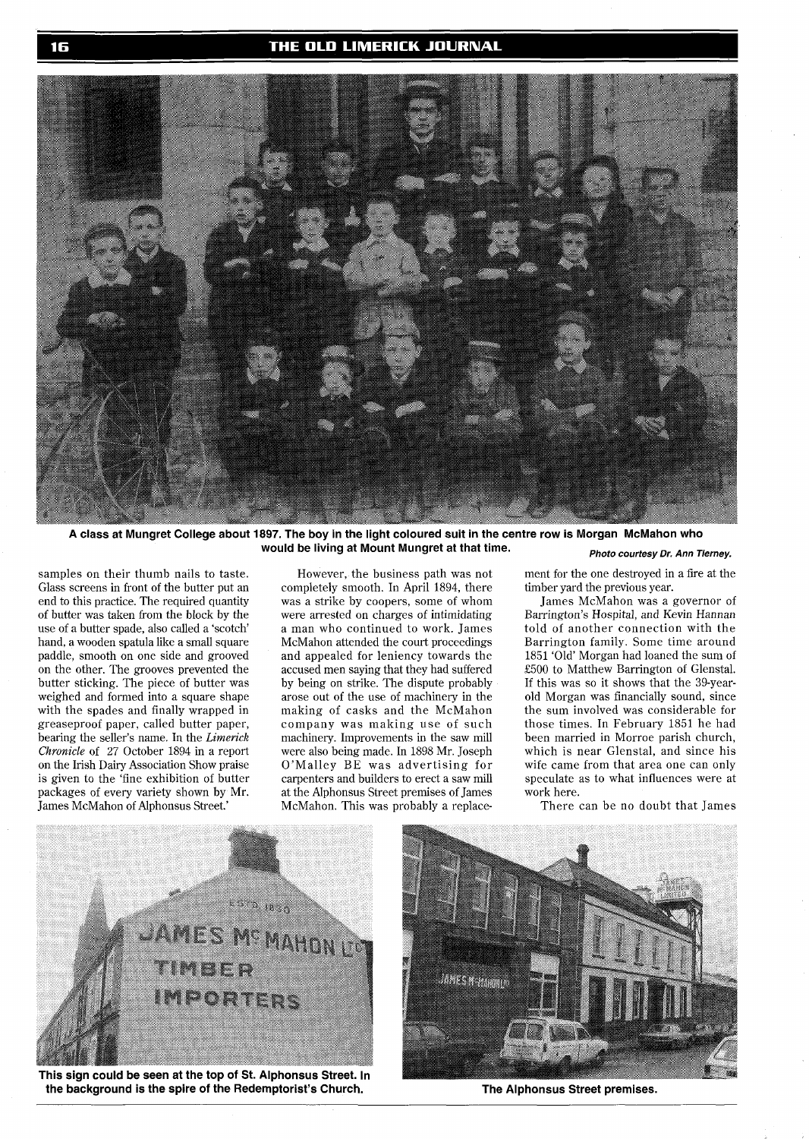

**A class at Mungret College about 1897. The boy in the light coloured suit in the centre row is Morgan McMahon who**  would be living at Mount Mungret at that time. *Photo courtesy Dr. Ann Tierney.* 

samples on their thumb nails to taste. Glass screens in front of the butter put an end to this practice. The required quantity of butter was taken from the block by the use of a butter spade, also called a 'scotch' hand, a wooden spatula like a small square paddle, smooth on one side and grooved on the other. The grooves prevented the butter sticking. The piece of butter was weighed and formed into a square shape with the spades and finally wrapped in greaseproof paper, called butter paper, bearing the seller's name. In the *Limerick Chronicle* of *27* October 1894 in a report on the Irish Dairy Association Show praise is given to the 'fine exhibition of butter packages of every variety shown by Mr. James McMahon of Alphonsus Street.'

However, the business path was not completely smooth. In April 1894, there was a strike by coopers, some of whom were arrested on charges of intimidating a man who continued to work. James McMahon attended the court proceedings and appealed for leniency towards the accused men saying that they had suffered by being on strike. The dispute probably arose out of the use of machinery in the making of casks and the McMahon company was making use of such machinery. Improvements in the saw mill were also being made. In 1898 Mr. Joseph O'Malley BE was advertising for carpenters and builders to erect a saw mill at the Alphonsus Street premises of James McMahon. This was probably a replace-

ment for the one destroyed in a fire at the timber yard the previous year.

James McMahon was a governor of Barrington's Hospital, and Kevin Hannan told of another connection with the Barrington family. Some time around 1851 'Old' Morgan had loaned the sum of E500 to Matthew Barrington of Glenstal. If this was so it shows that the 39-yearold Morgan was financially sound, since the sum involved was considerable for those times. In February 1851 he had been married in Morroe parish church, which is near Glenstal, and since his wife came from that area one can only speculate as to what influences were at work here.

There can be no doubt that James



This sign could be seen at the top of St. Alphonsus Street. In the background is the spire of the Redemptorist's Church. The Alphonsus Street premises.